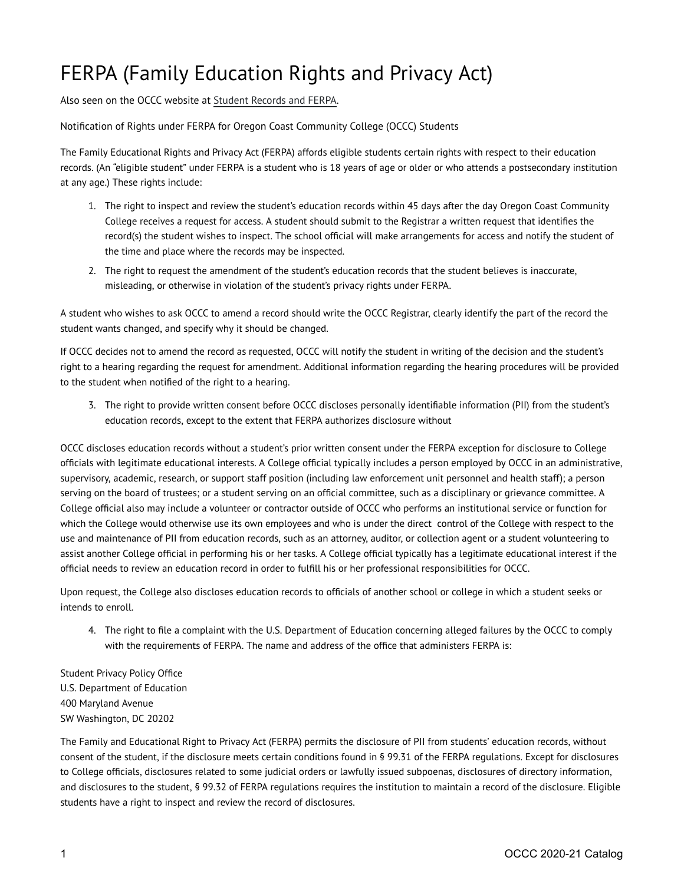## FERPA (Family Education Rights and Privacy Act)

Also seen on the OCCC website at [Student Records and FERPA](https://oregoncoast.edu/student-records-and-ferpa/).

Notification of Rights under FERPA for Oregon Coast Community College (OCCC) Students

The Family Educational Rights and Privacy Act (FERPA) affords eligible students certain rights with respect to their education records. (An "eligible student" under FERPA is a student who is 18 years of age or older or who attends a postsecondary institution at any age.) These rights include:

- 1. The right to inspect and review the student's education records within 45 days after the day Oregon Coast Community College receives a request for access. A student should submit to the Registrar a written request that identifies the record(s) the student wishes to inspect. The school official will make arrangements for access and notify the student of the time and place where the records may be inspected.
- 2. The right to request the amendment of the student's education records that the student believes is inaccurate, misleading, or otherwise in violation of the student's privacy rights under FERPA.

A student who wishes to ask OCCC to amend a record should write the OCCC Registrar, clearly identify the part of the record the student wants changed, and specify why it should be changed.

If OCCC decides not to amend the record as requested, OCCC will notify the student in writing of the decision and the student's right to a hearing regarding the request for amendment. Additional information regarding the hearing procedures will be provided to the student when notified of the right to a hearing.

3. The right to provide written consent before OCCC discloses personally identifiable information (PII) from the student's education records, except to the extent that FERPA authorizes disclosure without

OCCC discloses education records without a student's prior written consent under the FERPA exception for disclosure to College officials with legitimate educational interests. A College official typically includes a person employed by OCCC in an administrative, supervisory, academic, research, or support staff position (including law enforcement unit personnel and health staff); a person serving on the board of trustees; or a student serving on an official committee, such as a disciplinary or grievance committee. A College official also may include a volunteer or contractor outside of OCCC who performs an institutional service or function for which the College would otherwise use its own employees and who is under the direct control of the College with respect to the use and maintenance of PII from education records, such as an attorney, auditor, or collection agent or a student volunteering to assist another College official in performing his or her tasks. A College official typically has a legitimate educational interest if the official needs to review an education record in order to fulfill his or her professional responsibilities for OCCC.

Upon request, the College also discloses education records to officials of another school or college in which a student seeks or intends to enroll.

4. The right to file a complaint with the U.S. Department of Education concerning alleged failures by the OCCC to comply with the requirements of FERPA. The name and address of the office that administers FERPA is:

Student Privacy Policy Office U.S. Department of Education 400 Maryland Avenue SW Washington, DC 20202

The Family and Educational Right to Privacy Act (FERPA) permits the disclosure of PII from students' education records, without consent of the student, if the disclosure meets certain conditions found in § 99.31 of the FERPA regulations. Except for disclosures to College officials, disclosures related to some judicial orders or lawfully issued subpoenas, disclosures of directory information, and disclosures to the student, § 99.32 of FERPA regulations requires the institution to maintain a record of the disclosure. Eligible students have a right to inspect and review the record of disclosures.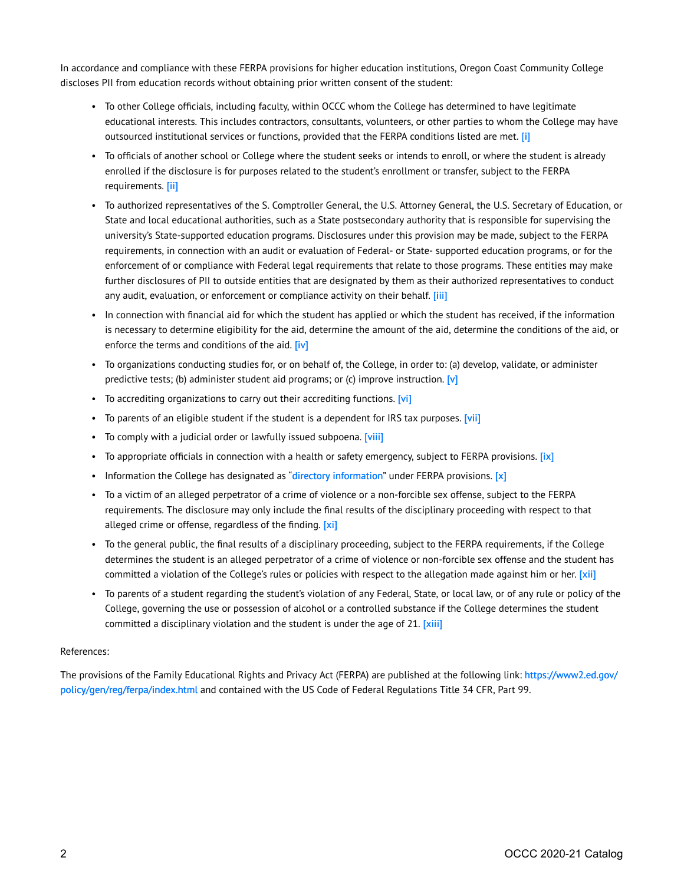In accordance and compliance with these FERPA provisions for higher education institutions, Oregon Coast Community College discloses PII from education records without obtaining prior written consent of the student:

- To other College officials, including faculty, within OCCC whom the College has determined to have legitimate educational interests. This includes contractors, consultants, volunteers, or other parties to whom the College may have outsourced institutional services or functions, provided that the FERPA conditions listed are met. [i]
- To officials of another school or College where the student seeks or intends to enroll, or where the student is already enrolled if the disclosure is for purposes related to the student's enrollment or transfer, subject to the FERPA requirements. [\[ii\]](https://oregoncoast.edu/student-records-and-ferpa/#_edn2)
- To authorized representatives of the S. Comptroller General, the U.S. Attorney General, the U.S. Secretary of Education, or State and local educational authorities, such as a State postsecondary authority that is responsible for supervising the university's State-supported education programs. Disclosures under this provision may be made, subject to the FERPA requirements, in connection with an audit or evaluation of Federal- or State- supported education programs, or for the enforcement of or compliance with Federal legal requirements that relate to those programs. These entities may make further disclosures of PII to outside entities that are designated by them as their authorized representatives to conduct any audit, evaluation, or enforcement or compliance activity on their behalf. [iii]
- In connection with financial aid for which the student has applied or which the student has received, if the information is necessary to determine eligibility for the aid, determine the amount of the aid, determine the conditions of the aid, or enforce the terms and conditions of the aid. [\[iv\]](https://oregoncoast.edu/student-records-and-ferpa/#_edn4)
- To organizations conducting studies for, or on behalf of, the College, in order to: (a) develop, validate, or administer predictive tests; (b) administer student aid programs; or (c) improve instruction.  $[v]$
- To accrediting organizations to carry out their accrediting functions. [\[vi\]](https://oregoncoast.edu/student-records-and-ferpa/#_edn6)
- To parents of an eligible student if the student is a dependent for IRS tax purposes. [\[vii\]](https://oregoncoast.edu/student-records-and-ferpa/#_edn7)
- To comply with a judicial order or lawfully issued subpoena. [\[viii\]](https://oregoncoast.edu/student-records-and-ferpa/#_edn8)
- To appropriate officials in connection with a health or safety emergency, subject to FERPA provisions. [\[ix\]](https://oregoncoast.edu/student-records-and-ferpa/#_edn9)
- Information the College has designated as "[directory information"](https://oregoncoast.edu/student-records-and-ferpa/#student directory) under FERPA provisions.  $[x]$
- To a victim of an alleged perpetrator of a crime of violence or a non-forcible sex offense, subject to the FERPA requirements. The disclosure may only include the final results of the disciplinary proceeding with respect to that alleged crime or offense, regardless of the finding. [\[xi\]](https://oregoncoast.edu/student-records-and-ferpa/#_edn11)
- To the general public, the final results of a disciplinary proceeding, subject to the FERPA requirements, if the College determines the student is an alleged perpetrator of a crime of violence or non-forcible sex offense and the student has committed a violation of the College's rules or policies with respect to the allegation made against him or her. [xii]
- To parents of a student regarding the student's violation of any Federal, State, or local law, or of any rule or policy of the College, governing the use or possession of alcohol or a controlled substance if the College determines the student committed a disciplinary violation and the student is under the age of 21. [\[xiii\]](https://oregoncoast.edu/student-records-and-ferpa/#_edn13)

## References:

The provisions of the Family Educational Rights and Privacy Act (FERPA) are published at the following link: [https://www2.ed.gov/](https://www2.ed.gov/policy/gen/reg/ferpa/index.html) [policy/gen/reg/ferpa/index.html](https://www2.ed.gov/policy/gen/reg/ferpa/index.html) and contained with the US Code of Federal Regulations Title 34 CFR, Part 99.